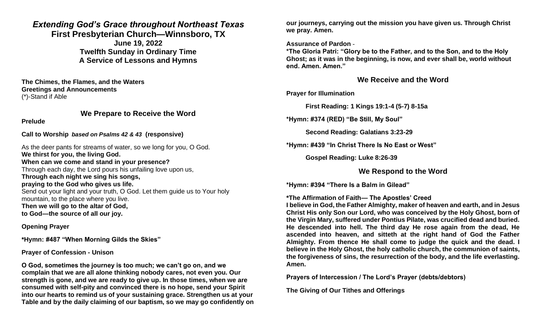# *Extending God's Grace throughout Northeast Texas*

**First Presbyterian Church—Winnsboro, TX**

**June 19, 2022 Twelfth Sunday in Ordinary Time A Service of Lessons and Hymns**

**The Chimes, the Flames, and the Waters Greetings and Announcements** (\*)-Stand if Able

# **We Prepare to Receive the Word**

**Prelude**

**Call to Worship** *based on Psalms 42 & 43* **(responsive)**

As the deer pants for streams of water, so we long for you, O God. **We thirst for you, the living God. When can we come and stand in your presence?** Through each day, the Lord pours his unfailing love upon us, **Through each night we sing his songs, praying to the God who gives us life.** Send out your light and your truth, O God. Let them guide us to Your holy mountain, to the place where you live. **Then we will go to the altar of God, to God—the source of all our joy.**

**Opening Prayer**

**\*Hymn: #487 "When Morning Gilds the Skies"**

### **Prayer of Confession - Unison**

**O God, sometimes the journey is too much; we can't go on, and we complain that we are all alone thinking nobody cares, not even you. Our strength is gone, and we are ready to give up. In those times, when we are consumed with self-pity and convinced there is no hope, send your Spirit into our hearts to remind us of your sustaining grace. Strengthen us at your Table and by the daily claiming of our baptism, so we may go confidently on**  **our journeys, carrying out the mission you have given us. Through Christ we pray. Amen.** 

**Assurance of Pardon** -

**\*The Gloria Patri: "Glory be to the Father, and to the Son, and to the Holy Ghost; as it was in the beginning, is now, and ever shall be, world without end. Amen. Amen."**

## **We Receive and the Word**

**Prayer for Illumination** 

**First Reading: 1 Kings 19:1-4 (5-7) 8-15a**

**\*Hymn: #374 (RED) "Be Still, My Soul"**

**Second Reading: Galatians 3:23-29**

**\*Hymn: #439 "In Christ There Is No East or West"**

**Gospel Reading: Luke 8:26-39**

**We Respond to the Word**

**\*Hymn: #394 "There Is a Balm in Gilead"**

### **\*The Affirmation of Faith— The Apostles' Creed**

**I believe in God, the Father Almighty, maker of heaven and earth, and in Jesus Christ His only Son our Lord, who was conceived by the Holy Ghost, born of the Virgin Mary, suffered under Pontius Pilate, was crucified dead and buried. He descended into hell. The third day He rose again from the dead, He ascended into heaven, and sitteth at the right hand of God the Father Almighty. From thence He shall come to judge the quick and the dead. I believe in the Holy Ghost, the holy catholic church, the communion of saints, the forgiveness of sins, the resurrection of the body, and the life everlasting. Amen.**

**Prayers of Intercession / The Lord's Prayer (debts/debtors)**

**The Giving of Our Tithes and Offerings**